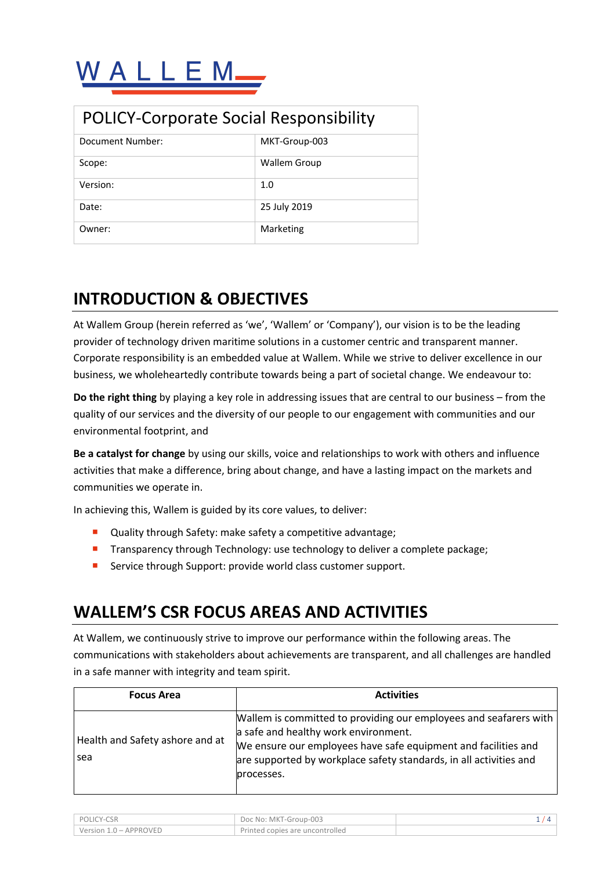| <b>POLICY-Corporate Social Responsibility</b> |                     |  |
|-----------------------------------------------|---------------------|--|
| Document Number:                              | MKT-Group-003       |  |
| Scope:                                        | <b>Wallem Group</b> |  |
| Version:                                      | 1.0                 |  |
| Date:                                         | 25 July 2019        |  |
| Owner:                                        | Marketing           |  |

# **INTRODUCTION & OBJECTIVES**

At Wallem Group (herein referred as 'we', 'Wallem' or 'Company'), our vision is to be the leading provider of technology driven maritime solutions in a customer centric and transparent manner. Corporate responsibility is an embedded value at Wallem. While we strive to deliver excellence in our business, we wholeheartedly contribute towards being a part of societal change. We endeavour to:

**Do the right thing** by playing a key role in addressing issues that are central to our business – from the quality of our services and the diversity of our people to our engagement with communities and our environmental footprint, and

**Be a catalyst for change** by using our skills, voice and relationships to work with others and influence activities that make a difference, bring about change, and have a lasting impact on the markets and communities we operate in.

In achieving this, Wallem is guided by its core values, to deliver:

- Quality through Safety: make safety a competitive advantage;
- **•** Transparency through Technology: use technology to deliver a complete package;
- **EXECT:** Service through Support: provide world class customer support.

#### **WALLEM'S CSR FOCUS AREAS AND ACTIVITIES**

At Wallem, we continuously strive to improve our performance within the following areas. The communications with stakeholders about achievements are transparent, and all challenges are handled in a safe manner with integrity and team spirit.

| <b>Focus Area</b>                      | <b>Activities</b>                                                                                                                                                                                                                                                 |  |
|----------------------------------------|-------------------------------------------------------------------------------------------------------------------------------------------------------------------------------------------------------------------------------------------------------------------|--|
| Health and Safety ashore and at<br>sea | Wallem is committed to providing our employees and seafarers with  <br>a safe and healthy work environment.<br>We ensure our employees have safe equipment and facilities and<br>are supported by workplace safety standards, in all activities and<br>processes. |  |

| POLICY-CSR             | Doc No: MKT-Group-003           |  |
|------------------------|---------------------------------|--|
| Version 1.0 – APPROVED | Printed copies are uncontrolled |  |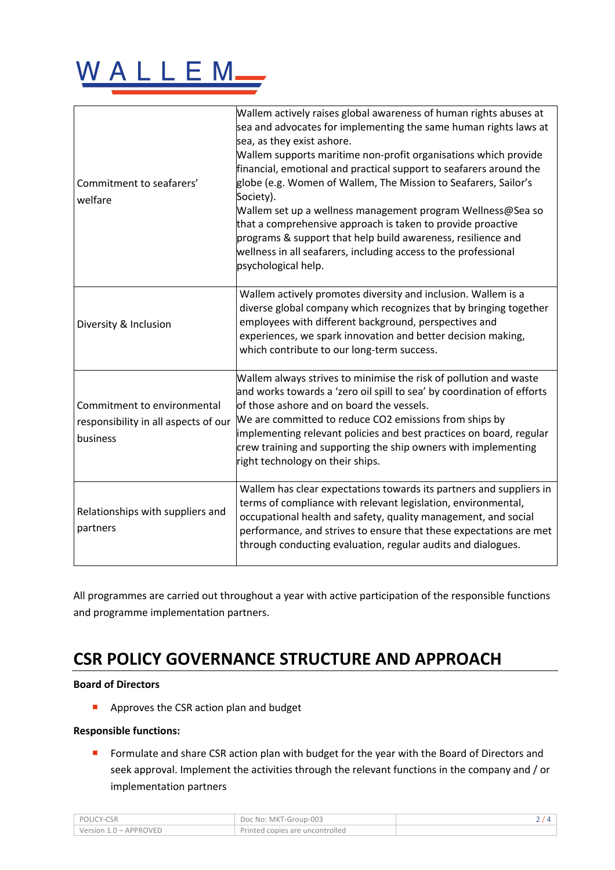

| Commitment to seafarers'<br>welfare                                             | Wallem actively raises global awareness of human rights abuses at<br>sea and advocates for implementing the same human rights laws at<br>sea, as they exist ashore.<br>Wallem supports maritime non-profit organisations which provide<br>financial, emotional and practical support to seafarers around the<br>globe (e.g. Women of Wallem, The Mission to Seafarers, Sailor's<br>Society).<br>Wallem set up a wellness management program Wellness@Sea so<br>that a comprehensive approach is taken to provide proactive<br>programs & support that help build awareness, resilience and<br>wellness in all seafarers, including access to the professional<br>psychological help. |
|---------------------------------------------------------------------------------|--------------------------------------------------------------------------------------------------------------------------------------------------------------------------------------------------------------------------------------------------------------------------------------------------------------------------------------------------------------------------------------------------------------------------------------------------------------------------------------------------------------------------------------------------------------------------------------------------------------------------------------------------------------------------------------|
| Diversity & Inclusion                                                           | Wallem actively promotes diversity and inclusion. Wallem is a<br>diverse global company which recognizes that by bringing together<br>employees with different background, perspectives and<br>experiences, we spark innovation and better decision making,<br>which contribute to our long-term success.                                                                                                                                                                                                                                                                                                                                                                            |
| Commitment to environmental<br>responsibility in all aspects of our<br>business | Wallem always strives to minimise the risk of pollution and waste<br>and works towards a 'zero oil spill to sea' by coordination of efforts<br>lof those ashore and on board the vessels.<br>We are committed to reduce CO2 emissions from ships by<br>implementing relevant policies and best practices on board, regular<br>crew training and supporting the ship owners with implementing<br>right technology on their ships.                                                                                                                                                                                                                                                     |
| Relationships with suppliers and<br>partners                                    | Wallem has clear expectations towards its partners and suppliers in<br>terms of compliance with relevant legislation, environmental,<br>occupational health and safety, quality management, and social<br>performance, and strives to ensure that these expectations are met<br>through conducting evaluation, regular audits and dialogues.                                                                                                                                                                                                                                                                                                                                         |

All programmes are carried out throughout a year with active participation of the responsible functions and programme implementation partners.

## **CSR POLICY GOVERNANCE STRUCTURE AND APPROACH**

#### **Board of Directors**

■ Approves the CSR action plan and budget

#### **Responsible functions:**

■ Formulate and share CSR action plan with budget for the year with the Board of Directors and seek approval. Implement the activities through the relevant functions in the company and / or implementation partners

| POLICY-CSR             | Doc No: MKT-Group-003           |  |
|------------------------|---------------------------------|--|
| Version 1.0 - APPROVED | Printed copies are uncontrolled |  |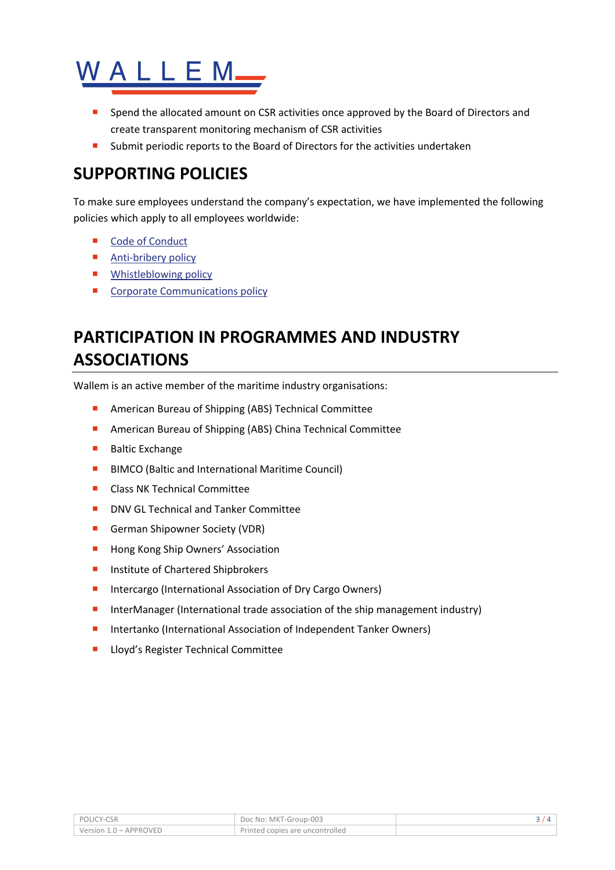

- Spend the allocated amount on CSR activities once approved by the Board of Directors and create transparent monitoring mechanism of CSR activities
- Submit periodic reports to the Board of Directors for the activities undertaken

## **SUPPORTING POLICIES**

To make sure employees understand the company's expectation, we have implemented the following policies which apply to all employees worldwide:

- Code of Conduct
- Anti-bribery policy
- **■** Whistleblowing policy
- Corporate Communications policy

# **PARTICIPATION IN PROGRAMMES AND INDUSTRY ASSOCIATIONS**

Wallem is an active member of the maritime industry organisations:

- American Bureau of Shipping (ABS) Technical Committee
- American Bureau of Shipping (ABS) China Technical Committee
- Baltic Exchange
- BIMCO (Baltic and International Maritime Council)
- Class NK Technical Committee
- DNV GL Technical and Tanker Committee
- German Shipowner Society (VDR)
- Hong Kong Ship Owners' Association
- Institute of Chartered Shipbrokers
- Intercargo (International Association of Dry Cargo Owners)
- InterManager (International trade association of the ship management industry)
- Intertanko (International Association of Independent Tanker Owners)
- Lloyd's Register Technical Committee

| POLICY-CSR             | Doc No: MKT-Group-003           |  |
|------------------------|---------------------------------|--|
| Version 1.0 - APPROVED | Printed copies are uncontrolled |  |